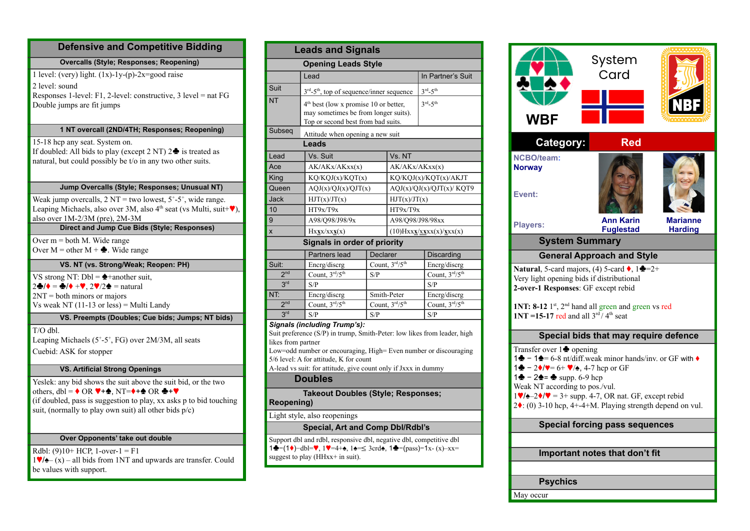# **Defensive and Competitive Bidding**

**Overcalls (Style; Responses; Reopening)**

1 level: (very) light.  $(1x)$ -1y-(p)-2x=good raise 2 level: sound Responses 1-level: F1, 2-level: constructive, 3 level = nat FG Double jumps are fit jumps

#### **1 NT overcall (2ND/4TH; Responses; Reopening)**

15-18 hcp any seat. System on. If doubled: All bids to play (except  $2 \text{ NT}$ )  $2 \triangleq$  is treated as natural, but could possibly be t/o in any two other suits.

### **Jump Overcalls (Style; Responses; Unusual NT)**

Weak jump overcalls,  $2 NT = two lowest, 5<sup>+</sup>-5<sup>+</sup>, wide range.$ Leaping Michaels, also over 3M, also  $4<sup>th</sup>$  seat (vs Multi, suit+ $\blacktriangledown$ ), also over 1M-2/3M (pre), 2M-3M

# **Direct and Jump Cue Bids (Style; Responses)**

Over  $m =$  both M. Wide range Over  $M =$  other  $M + \triangle$ . Wide range

### **VS. NT (vs. Strong/Weak; Reopen: PH)**

VS strong NT:  $Dbl = \triangle +$ another suit,  $2\clubsuit/\bullet = \clubsuit/\bullet + \blacktriangledown$ ,  $2\blacktriangledown/2\spadesuit =$  natural 2NT = both minors or majors Vs weak NT (11-13 or less) = Multi Landy

### **VS. Preempts (Doubles; Cue bids; Jumps; NT bids)**

 $T/O$  dbl. Leaping Michaels (5+-5+, FG) over 2M/3M, all seats Cuebid: ASK for stopper

# **VS. Artificial Strong Openings**

Yeslek: any bid shows the suit above the suit bid, or the two others,  $dh = \triangle$  OR  $\Psi + \triangle$ , NT= $\diamond + \triangle$  OR  $\clubsuit + \blacktriangledown$ (if doubled, pass is suggestion to play, xx asks p to bid touching suit, (normally to play own suit) all other bids  $p/c$ )

#### **Over Opponents' take out double**

 $Rdh! (9)10+ HCP 1-over-1 = F1$  $1\Psi/\phi$ – (x) – all bids from 1NT and upwards are transfer. Could be values with support.

| <b>Leads and Signals</b>                                                                                                                             |                                                                  |                                                   |                                                                  |                                      |  |  |  |  |  |  |  |
|------------------------------------------------------------------------------------------------------------------------------------------------------|------------------------------------------------------------------|---------------------------------------------------|------------------------------------------------------------------|--------------------------------------|--|--|--|--|--|--|--|
|                                                                                                                                                      | <b>Opening Leads Style</b>                                       |                                                   |                                                                  |                                      |  |  |  |  |  |  |  |
|                                                                                                                                                      | Lead                                                             | In Partner's Suit                                 |                                                                  |                                      |  |  |  |  |  |  |  |
| Suit                                                                                                                                                 | $3rd - 5th$ , top of sequence/inner sequence                     |                                                   |                                                                  | $3rd - 5th$                          |  |  |  |  |  |  |  |
| <b>NT</b>                                                                                                                                            |                                                                  | 4 <sup>th</sup> best (low x promise 10 or better, |                                                                  |                                      |  |  |  |  |  |  |  |
| may sometimes be from longer suits).                                                                                                                 |                                                                  |                                                   |                                                                  | $3^{rd} - 5^{th}$                    |  |  |  |  |  |  |  |
|                                                                                                                                                      | Top or second best from bad suits.                               |                                                   |                                                                  |                                      |  |  |  |  |  |  |  |
| Subseq<br>Attitude when opening a new suit                                                                                                           |                                                                  |                                                   |                                                                  |                                      |  |  |  |  |  |  |  |
| Leads                                                                                                                                                |                                                                  |                                                   |                                                                  |                                      |  |  |  |  |  |  |  |
| Lead                                                                                                                                                 | Vs. Suit<br>Vs. NT                                               |                                                   |                                                                  |                                      |  |  |  |  |  |  |  |
| Ace                                                                                                                                                  | AK/AKx/AKxx(x)                                                   |                                                   | AK/AKx/AKxx(x)                                                   |                                      |  |  |  |  |  |  |  |
| King                                                                                                                                                 | KQ/KQJ(x)/KQT(x)                                                 |                                                   | KQ/KQJ(x)/KQT(x)/AKJT                                            |                                      |  |  |  |  |  |  |  |
| Queen                                                                                                                                                | AQJ(x)/QJ(x)/QJT(x)                                              |                                                   |                                                                  | AQJ(x)/QJ(x)/QJT(x)/KQT9             |  |  |  |  |  |  |  |
| <b>Jack</b>                                                                                                                                          | HJT(x)/JT(x)                                                     |                                                   |                                                                  | HJT(x)/JT(x)                         |  |  |  |  |  |  |  |
| 10                                                                                                                                                   | HT9x/T9x                                                         |                                                   | HT9x/T9x                                                         |                                      |  |  |  |  |  |  |  |
| 9                                                                                                                                                    | A98/Q98/J98/9x                                                   |                                                   | A98/Q98/J98/98xx                                                 |                                      |  |  |  |  |  |  |  |
| X                                                                                                                                                    | $Hx\underline{\mathbf{x}}x/xx\underline{\mathbf{x}}(x)$          |                                                   | $(10)$ Hxx $\mathbf{x}/\mathbf{x}$ xxx $(x)/\mathbf{x}$ xx $(x)$ |                                      |  |  |  |  |  |  |  |
| <b>Signals in order of priority</b>                                                                                                                  |                                                                  |                                                   |                                                                  |                                      |  |  |  |  |  |  |  |
|                                                                                                                                                      | Partners lead                                                    | Declarer                                          |                                                                  | Discarding                           |  |  |  |  |  |  |  |
| Suit:                                                                                                                                                | Encrg/discrg                                                     |                                                   | Count, 3rd/5th                                                   | Encrg/discrg                         |  |  |  |  |  |  |  |
| 2 <sup>nd</sup>                                                                                                                                      | Count, $3^{rd}/5^{th}$<br>S/P                                    |                                                   |                                                                  | Count, $3^{\text{rd}}/5^{\text{th}}$ |  |  |  |  |  |  |  |
| 3 <sup>rd</sup>                                                                                                                                      | S/P                                                              |                                                   |                                                                  | S/P                                  |  |  |  |  |  |  |  |
| NT:                                                                                                                                                  | Encrg/discrg                                                     |                                                   | Smith-Peter                                                      | Encrg/discrg                         |  |  |  |  |  |  |  |
| 2 <sub>nd</sub>                                                                                                                                      | Count, $3rd/5th$<br>Count, 3rd/5th                               |                                                   |                                                                  | Count, 3rd/5th                       |  |  |  |  |  |  |  |
| 3 <sup>rd</sup>                                                                                                                                      | S/P                                                              | S/P                                               |                                                                  | S/P                                  |  |  |  |  |  |  |  |
|                                                                                                                                                      | <b>Signals (including Trump's):</b>                              |                                                   |                                                                  |                                      |  |  |  |  |  |  |  |
| Suit preference (S/P) in trump, Smith-Peter: low likes from leader, high<br>likes from partner                                                       |                                                                  |                                                   |                                                                  |                                      |  |  |  |  |  |  |  |
|                                                                                                                                                      | Low=odd number or encouraging, High= Even number or discouraging |                                                   |                                                                  |                                      |  |  |  |  |  |  |  |
| 5/6 level: A for attitude, K for count                                                                                                               |                                                                  |                                                   |                                                                  |                                      |  |  |  |  |  |  |  |
| A-lead vs suit: for attitude, give count only if Jxxx in dummy                                                                                       |                                                                  |                                                   |                                                                  |                                      |  |  |  |  |  |  |  |
| <b>Doubles</b>                                                                                                                                       |                                                                  |                                                   |                                                                  |                                      |  |  |  |  |  |  |  |
| <b>Takeout Doubles (Style; Responses;</b><br><b>Reopening)</b>                                                                                       |                                                                  |                                                   |                                                                  |                                      |  |  |  |  |  |  |  |
| Light style, also reopenings                                                                                                                         |                                                                  |                                                   |                                                                  |                                      |  |  |  |  |  |  |  |
| <b>Special, Art and Comp Dbl/Rdbl's</b>                                                                                                              |                                                                  |                                                   |                                                                  |                                      |  |  |  |  |  |  |  |
| Support dbl and rdbl, responsive dbl, negative dbl, competitive dbl<br>1♣ – (1♦) – dbl=♥, 1♥ = 4+♠, 1♠ = $\leq 3$ crd♠, 1♣ – (pass) – 1x- (x) – xx = |                                                                  |                                                   |                                                                  |                                      |  |  |  |  |  |  |  |
|                                                                                                                                                      | suggest to play (HHxx+ in suit).                                 |                                                   |                                                                  |                                      |  |  |  |  |  |  |  |
|                                                                                                                                                      |                                                                  |                                                   |                                                                  |                                      |  |  |  |  |  |  |  |



**Psychics**

May occur